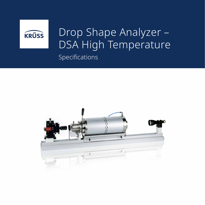

## Specifications Drop Shape Analyzer – DSA High Temperature

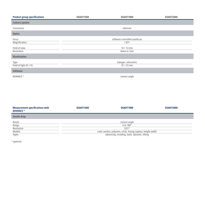| <b>Product group specifications</b>          | <b>DSAHT1600</b>                          | DSAHT1800                                     | <b>DSAHT2000</b> |  |
|----------------------------------------------|-------------------------------------------|-----------------------------------------------|------------------|--|
| Camera system                                |                                           |                                               |                  |  |
| Connection                                   | ethernet                                  |                                               |                  |  |
| <b>Optics</b>                                |                                           |                                               |                  |  |
| Focus<br>Magnification                       |                                           | software controlled autofocus<br>$1.87\times$ |                  |  |
| Field of view<br>Resolution                  |                                           | $10 \times 14$ mm<br>down to 7µm              |                  |  |
| <b>Illumination</b>                          |                                           |                                               |                  |  |
| <b>Type</b><br>Field of light $(D \times H)$ | halogen, telecentric<br>$25 \times 23$ mm |                                               |                  |  |
| <b>Software</b>                              |                                           |                                               |                  |  |
| ADVANCE <sup>1)</sup>                        |                                           | contact angle                                 |                  |  |

| <b>Measurement specifications with</b><br><b>ADVANCE<sup>1)</sup></b> | DSAHT1600                                                   | DSAHT1800 | DSAHT2000 |  |  |
|-----------------------------------------------------------------------|-------------------------------------------------------------|-----------|-----------|--|--|
| Sessile drop                                                          |                                                             |           |           |  |  |
| Result<br>Range                                                       | contact angle<br>0 to $180^\circ$                           |           |           |  |  |
| Resolution                                                            | $0.01^\circ$                                                |           |           |  |  |
| Models                                                                | conic section, polynom, circle, Young-Laplace, height-width |           |           |  |  |
| <b>Types</b>                                                          | advancing, receding, static, dynamic, tilting               |           |           |  |  |

<sup>1)</sup> optional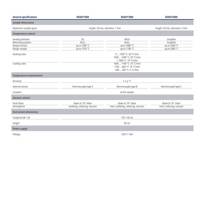| <b>General specifications</b>                                        | <b>DSAHT1600</b>                                                        | <b>DSAHT1800</b>                                                                                                                                          | <b>DSAHT2000</b>                                         |  |
|----------------------------------------------------------------------|-------------------------------------------------------------------------|-----------------------------------------------------------------------------------------------------------------------------------------------------------|----------------------------------------------------------|--|
| <b>Sample dimensions</b>                                             |                                                                         |                                                                                                                                                           |                                                          |  |
| Maximum sample space                                                 | length: 20 mm, diameter: 7 mm                                           |                                                                                                                                                           | length: 20 mm, diameter: 5 mm                            |  |
| <b>Temperature control</b>                                           |                                                                         |                                                                                                                                                           |                                                          |  |
| Heating element<br>Measuring system<br>Range furnace<br>Range sample | SiC<br>Al <sub>2</sub> O <sub>3</sub><br>up to 1600 °C<br>up to 1550 °C | MoSi<br>Al <sub>2</sub> O <sub>3</sub><br>up to 1800 °C<br>up to 1700 °C                                                                                  | Graphite<br>Graphite<br>up to 2000 °C<br>up to 2000 °C   |  |
| Heating rates<br>Cooling rates                                       |                                                                         | 0  1200 °C: 30 °C/min<br>1200  1600 °C: 20 °C/min<br>> 1600 °C: 10 °C/min<br>1600  1100 °C: 10 °C/min<br>1100  600 °C: 10 °C/min<br>600  300 °C: 5 °C/min |                                                          |  |
| <b>Temperature measurement</b>                                       |                                                                         |                                                                                                                                                           |                                                          |  |
| Accuracy                                                             |                                                                         | ± 2.5 °C                                                                                                                                                  |                                                          |  |
| Internal sensor                                                      | thermocouple type S                                                     | thermocouple type B                                                                                                                                       | thermocouple type C                                      |  |
| Location                                                             | at the sample                                                           |                                                                                                                                                           |                                                          |  |
| <b>Vacuum control</b>                                                |                                                                         |                                                                                                                                                           |                                                          |  |
| <b>Final Value</b><br>Atmosphere                                     | down to 10 <sup>-5</sup> mbar<br>oxidizing, reducing, vacuum            | down to 10 <sup>-4</sup> mbar<br>inert, oxidizing, reducing, vacuum                                                                                       | down to 10 <sup>-3</sup> mbar<br>inert, reducing, vacuum |  |
| <b>Instrument dimensions</b>                                         |                                                                         |                                                                                                                                                           |                                                          |  |
| Footprint (W × D)                                                    | $120 \times 40$ cm                                                      |                                                                                                                                                           |                                                          |  |
| Height                                                               | 40 cm                                                                   |                                                                                                                                                           |                                                          |  |
| <b>Power supply</b>                                                  |                                                                         |                                                                                                                                                           |                                                          |  |
| Voltage                                                              | 230 V / 16A                                                             |                                                                                                                                                           |                                                          |  |